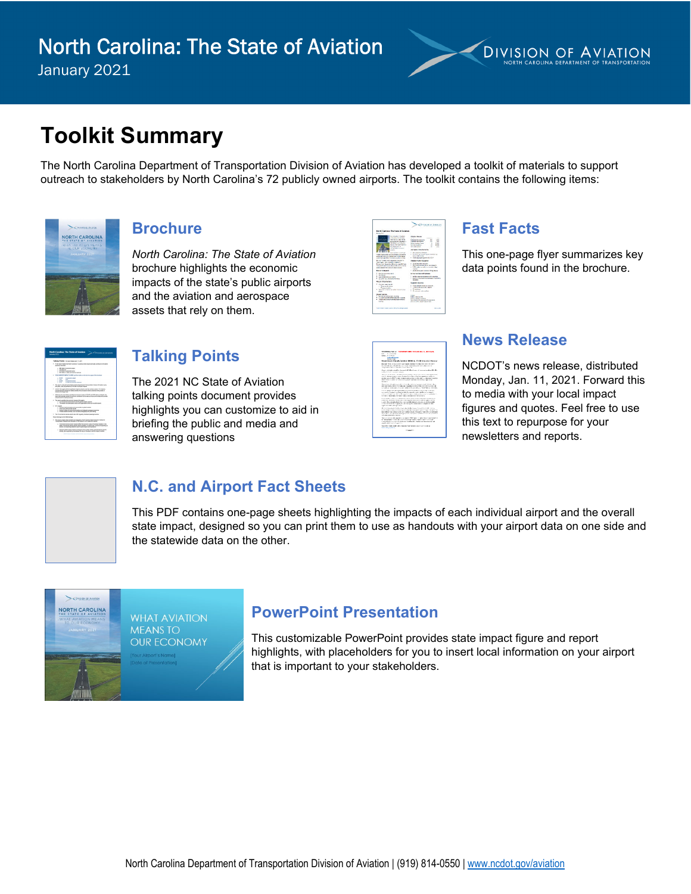

# **Toolkit Summary**

The North Carolina Department of Transportation Division of Aviation has developed a toolkit of materials to support outreach to stakeholders by North Carolina's 72 publicly owned airports. The toolkit contains the following items:



#### **Brochure**

*North Carolina: The State of Aviation* brochure highlights the economic impacts of the state's public airports and the aviation and aerospace assets that rely on them.

|                                                                              | <b>Contains on Assesses</b><br><b><i>CONTRACTORY</i></b>                      |
|------------------------------------------------------------------------------|-------------------------------------------------------------------------------|
| Newb Carolina: The State of Automan<br><b>Books 2007</b>                     |                                                                               |
| by a space on Annual of<br><b>SCALE/VILLAGE</b>                              | Anadaus Berluga                                                               |
| ben bis Militar Kille                                                        | $\sim$<br><b>Sec</b><br>$\sim$<br><b>SHARE</b>                                |
| <b>Call Construction Section 10</b>                                          | <b><i>Amazon McVillage</i></b><br>$\sim$<br><b>CONTRACTOR</b>                 |
| <b>WORKER AND ARRESTS FOR</b>                                                | <b><i>UNITED STATES</i></b><br><b>Views system Times</b><br>۰<br><b>STORY</b> |
| <b><i>CONTRACTOR CONTRACTOR</i></b>                                          | <b>SERVICE MENA</b><br>LEARLY<br>٠                                            |
| and department of the con-                                                   | ÷<br><b>COLLECTION</b>                                                        |
| <b>CONTRACTOR</b>                                                            |                                                                               |
| --                                                                           | January Venderster                                                            |
| <b>WASHINGTON TO STAND</b>                                                   | * Highwayne 1906 pre-                                                         |
| <b>START IN THE REPORT OF DEPARTMENT</b>                                     | The following an excess confidence                                            |
| with starts and benefits which and actually                                  | provided streets.                                                             |
| <b>AND READERS RECORD FOR A STATE AND READER</b>                             | 1 Th Proprietary work Mid-197                                                 |
| the four frames is the committed assistantly<br><b>SAFEKEE MEERLENGTHANE</b> | Askalan Kidar Magazines                                                       |
| Foreign and four it and buyers' with the foreign                             | 1 PAGEMENT PRO                                                                |
| <b>CA MAIN BARLING BY IN BLACK CARDS</b>                                     | " Interest endowment and stages.                                              |
| <b><i>STRATEGIC SELLER COMMUNISTIC</i></b>                                   | 1 S. Marghan Arrest Countries Library<br>ment.                                |
| <b>Barnet &amp; Months</b>                                                   | Continued and considerably show-                                              |
| 1 Bright Avenue oded                                                         | <b>Michael Annual Science</b>                                                 |
| <b>COURSE</b>                                                                | 1. A Bingsportsmaker interesses                                               |
| <b>Los Miss Estate Lists</b>                                                 | 7. LA River Mind Association of Ann Count Away                                |
| <b>Did after on a student between</b>                                        | <b>BERES</b>                                                                  |
| <b>South Markets</b>                                                         | <b><i><u>Business Controllers</u></i></b>                                     |
| * Parks wanted                                                               | · Hat continued as a manager                                                  |
| a company of the first                                                       | . LEBOURNEY OF EX PAIDS                                                       |
| - Passenger                                                                  | · Homiters                                                                    |
| Select and construction and in the compution<br><b>COL</b>                   | 1. The process and contribute                                                 |
|                                                                              |                                                                               |
| <b>Book Advise</b>                                                           | <b>Candler</b>                                                                |
| 1. Washington American Installation                                          | <b>BALL WILDER</b>                                                            |
| 1. Charles March 41 (64) 454-541-120-2                                       | <b>Branch School of All Antonio</b>                                           |
| a find by your shore construction with and                                   | be to be the began as a former ago.                                           |
| <b>HAND</b>                                                                  | <b>MAKING BARTHAMPION</b>                                                     |
| NAME OF OCCUPANT OR OTHER DESIGNATION.                                       | <b>STATISTICS</b>                                                             |

#### **Fast Facts**

This one-page flyer summarizes key data points found in the brochure.

|   | North Carolina: The State of Aviation<br><b>SHE DIVERSION OF A HARDEN</b><br>Jamany 2021                                                                                                                                                                |
|---|---------------------------------------------------------------------------------------------------------------------------------------------------------------------------------------------------------------------------------------------------------|
|   | Talking Points Avenue store as in 2014                                                                                                                                                                                                                  |
|   | . A new report month that horty Constrain TC politicis permit at corta procedure to the attention<br>atomics must five                                                                                                                                  |
|   | a 30 later is according to the<br>$-$ 170.6% and<br>. Efficiency of particular contra-<br>a \$2.0 killion in alate and bout ten renetures                                                                                                               |
|   | 1. FOUR ARPORT MENTEL HERE out has been as in the last for years of the brother.                                                                                                                                                                        |
|   | $-1500$<br><b>A month adult</b><br><b>CONTRACTOR</b><br>⋍<br>$-$ 1.000<br>A behind through<br><b>C. S.MA</b><br>in shalls and house they show they                                                                                                      |
|   | . The next and early the facts Carelya Department of The secretary Design of Audio appro-<br>be used your and calibrate \$150 date to colourly disease.                                                                                                 |
|   | . COVO Glorogit and and ophaminganity arous, but has raised to usine Parisiania.<br>printed at the first and allow where the consultation derivative and country at<br>disclose and handed coast                                                        |
|   | 1. This was that be also to purch the entropy impact of COVE and 2001 App to produce the<br>with the country and the country of the country of the country of the country of the country of the country<br>promotivity/s for macking resistants         |
|   | 1. The sent pumple the potential integral of the public control of<br>a. If concerns a more stress with seven white stress.<br>. The action and personal action and experiences flut was on public actions                                              |
|   | a M.F. accords<br>c. Contact businessments and communities to global markets.<br>- Four art what arom around<br>. Supervision and entertainment and consideration to an entertainment                                                                   |
|   | Those positions are as a set of period deduction and educations                                                                                                                                                                                         |
|   | 1. The 10 content several entry distribution in the technique services.<br><b>Board Extremed &amp; McGraholton</b>                                                                                                                                      |
| ÷ | 1. The most comes day consist antique and by both Carolina Stationization business for<br>Twistoners Report and August 1750 Award at 1710 per him words                                                                                                 |
|   | a Communist service americans what the experts subur of suitana inautos is the<br>state's constructed security security was as branched to stated this income and contribution<br>terants, and spending related to allow paying projects and systems of |
|   | a Served addition amendments are found on the horitor of who averaged by the arrange<br>should join superiod by businesses that way on the prized, and the regard of stations                                                                           |
|   | ---<br>------                                                                                                                                                                                                                                           |

#### **Talking Points**

The 2021 NC State of Aviation talking points document provides highlights you can customize to aid in briefing the public and media and answering questions

| NOCCEMBER 5-8 HALLMARK WORKER MONTHNIERS 13, 2011 FLAM<br>Car - Arran M. Fall<br>Georgia Ballis, Nasar<br><b><i>METABORY NEW</i></b><br><b>PERMITTEE</b><br>Service Montre de Antoine de Brasiliei (Miller, 1991, 1991, 1992, 1992). President<br>A 4-YOM, THINK CHARLES HAVE SHARE SHARE WAS NOT THE WAY FAILURED FOR A \$1.00<br>with an end apply of \$200 today apply the internal referable to b. C. Dept that C. (<br>because the control of the three factors. With the<br>Associated with the trained into the countries in FM has been as all forms and considered that with a<br>a BACK for Concession and<br>Bellow Al-Peterson, Architect Annie Georgic Reproduct the Al-Marine and Bellow<br>THE R. P. LEWIS CO., LANSING, MICH. 49-14039-1-120-2 120-221-222-222-222-222-222-222-2<br>a planner of 1972 cars in providers in case of the collection of the collection of the children<br>advertisement and an except to the control of the second control of the full and control of the<br><b>MARKET</b><br>The service of the first second access to the permit of company candy for each of the<br>THE RECORD CREW FLOWER OR ANIMALS AND CONTRACTOR CONTRACTORS IN A<br>or cash or rates years the definition from the critical district shoulders.<br>CONTRACTOR COMPANY IN THE COMPANY OF THE COMPANY OF THE CONTRACTOR COMPANY OF THE COMPANY OF THE COMPANY OF THE COMPANY OF THE COMPANY OF THE COMPANY OF THE COMPANY OF THE COMPANY OF THE COMPANY OF THE COMPANY OF THE COMPA<br>security of the terminal constant and the detection of the constant of the constant of the constant<br>Christmas Registrate WK, for Williams R. Edit Anti-American Management Conditions<br>THE R. P. LEWIS CO., LANSING, MICH. 49-14039-1-120-2<br>A 10 Year factor of the control of the American control of the control of the Control of the Control of the Control of the Control of the Control of the Control of the Control of the Control of the Control of the Control o<br>these particulars have not well been completed by the time in the property of the second<br>come officer and while a dealers a price and home are a present as a problem of the<br>of industrial and all of graph, we obtained the commental and computed and when<br>FOR THE REPORT OF A REAL PROPERTY.<br>Management in the fundamental shares for exactly and the control of the first<br>A 1700 APROVE CAR A 17 YEAR OLD FEMALE RAD A 49 YEAR OLD AND THE RESIDENCE.<br>A 4-5 will be him to seem for determining the analysis. The company of all 4-40 percent dealership<br>Automobile and whether control to a present the control to the control of the con-<br>and comes attention for the tract.<br>The following the total company's company's "Williams & City Seattle Williams Associated the Con-<br>for administration construction of the state and administration of the con-<br>construited a company's behavior introduced in the behavior introduced and<br>died collections are experience<br>the finds inseed beliefs a throughtfood of our individual area shown include an<br><b>WORLD WAS ARRIVED FOR</b><br><b><i>INSERTS</i></b> |  |
|-------------------------------------------------------------------------------------------------------------------------------------------------------------------------------------------------------------------------------------------------------------------------------------------------------------------------------------------------------------------------------------------------------------------------------------------------------------------------------------------------------------------------------------------------------------------------------------------------------------------------------------------------------------------------------------------------------------------------------------------------------------------------------------------------------------------------------------------------------------------------------------------------------------------------------------------------------------------------------------------------------------------------------------------------------------------------------------------------------------------------------------------------------------------------------------------------------------------------------------------------------------------------------------------------------------------------------------------------------------------------------------------------------------------------------------------------------------------------------------------------------------------------------------------------------------------------------------------------------------------------------------------------------------------------------------------------------------------------------------------------------------------------------------------------------------------------------------------------------------------------------------------------------------------------------------------------------------------------------------------------------------------------------------------------------------------------------------------------------------------------------------------------------------------------------------------------------------------------------------------------------------------------------------------------------------------------------------------------------------------------------------------------------------------------------------------------------------------------------------------------------------------------------------------------------------------------------------------------------------------------------------------------------------------------------------------------------------------------------------------------------------------------------------------------------------------------------------------------------------------------------------------------------------------------------------------------------------------------------------------------------------------------------------------------------------------------------------------------------------------------------------------------------------|--|
|                                                                                                                                                                                                                                                                                                                                                                                                                                                                                                                                                                                                                                                                                                                                                                                                                                                                                                                                                                                                                                                                                                                                                                                                                                                                                                                                                                                                                                                                                                                                                                                                                                                                                                                                                                                                                                                                                                                                                                                                                                                                                                                                                                                                                                                                                                                                                                                                                                                                                                                                                                                                                                                                                                                                                                                                                                                                                                                                                                                                                                                                                                                                                             |  |
|                                                                                                                                                                                                                                                                                                                                                                                                                                                                                                                                                                                                                                                                                                                                                                                                                                                                                                                                                                                                                                                                                                                                                                                                                                                                                                                                                                                                                                                                                                                                                                                                                                                                                                                                                                                                                                                                                                                                                                                                                                                                                                                                                                                                                                                                                                                                                                                                                                                                                                                                                                                                                                                                                                                                                                                                                                                                                                                                                                                                                                                                                                                                                             |  |
|                                                                                                                                                                                                                                                                                                                                                                                                                                                                                                                                                                                                                                                                                                                                                                                                                                                                                                                                                                                                                                                                                                                                                                                                                                                                                                                                                                                                                                                                                                                                                                                                                                                                                                                                                                                                                                                                                                                                                                                                                                                                                                                                                                                                                                                                                                                                                                                                                                                                                                                                                                                                                                                                                                                                                                                                                                                                                                                                                                                                                                                                                                                                                             |  |
|                                                                                                                                                                                                                                                                                                                                                                                                                                                                                                                                                                                                                                                                                                                                                                                                                                                                                                                                                                                                                                                                                                                                                                                                                                                                                                                                                                                                                                                                                                                                                                                                                                                                                                                                                                                                                                                                                                                                                                                                                                                                                                                                                                                                                                                                                                                                                                                                                                                                                                                                                                                                                                                                                                                                                                                                                                                                                                                                                                                                                                                                                                                                                             |  |
|                                                                                                                                                                                                                                                                                                                                                                                                                                                                                                                                                                                                                                                                                                                                                                                                                                                                                                                                                                                                                                                                                                                                                                                                                                                                                                                                                                                                                                                                                                                                                                                                                                                                                                                                                                                                                                                                                                                                                                                                                                                                                                                                                                                                                                                                                                                                                                                                                                                                                                                                                                                                                                                                                                                                                                                                                                                                                                                                                                                                                                                                                                                                                             |  |
|                                                                                                                                                                                                                                                                                                                                                                                                                                                                                                                                                                                                                                                                                                                                                                                                                                                                                                                                                                                                                                                                                                                                                                                                                                                                                                                                                                                                                                                                                                                                                                                                                                                                                                                                                                                                                                                                                                                                                                                                                                                                                                                                                                                                                                                                                                                                                                                                                                                                                                                                                                                                                                                                                                                                                                                                                                                                                                                                                                                                                                                                                                                                                             |  |
|                                                                                                                                                                                                                                                                                                                                                                                                                                                                                                                                                                                                                                                                                                                                                                                                                                                                                                                                                                                                                                                                                                                                                                                                                                                                                                                                                                                                                                                                                                                                                                                                                                                                                                                                                                                                                                                                                                                                                                                                                                                                                                                                                                                                                                                                                                                                                                                                                                                                                                                                                                                                                                                                                                                                                                                                                                                                                                                                                                                                                                                                                                                                                             |  |
|                                                                                                                                                                                                                                                                                                                                                                                                                                                                                                                                                                                                                                                                                                                                                                                                                                                                                                                                                                                                                                                                                                                                                                                                                                                                                                                                                                                                                                                                                                                                                                                                                                                                                                                                                                                                                                                                                                                                                                                                                                                                                                                                                                                                                                                                                                                                                                                                                                                                                                                                                                                                                                                                                                                                                                                                                                                                                                                                                                                                                                                                                                                                                             |  |
|                                                                                                                                                                                                                                                                                                                                                                                                                                                                                                                                                                                                                                                                                                                                                                                                                                                                                                                                                                                                                                                                                                                                                                                                                                                                                                                                                                                                                                                                                                                                                                                                                                                                                                                                                                                                                                                                                                                                                                                                                                                                                                                                                                                                                                                                                                                                                                                                                                                                                                                                                                                                                                                                                                                                                                                                                                                                                                                                                                                                                                                                                                                                                             |  |
|                                                                                                                                                                                                                                                                                                                                                                                                                                                                                                                                                                                                                                                                                                                                                                                                                                                                                                                                                                                                                                                                                                                                                                                                                                                                                                                                                                                                                                                                                                                                                                                                                                                                                                                                                                                                                                                                                                                                                                                                                                                                                                                                                                                                                                                                                                                                                                                                                                                                                                                                                                                                                                                                                                                                                                                                                                                                                                                                                                                                                                                                                                                                                             |  |
|                                                                                                                                                                                                                                                                                                                                                                                                                                                                                                                                                                                                                                                                                                                                                                                                                                                                                                                                                                                                                                                                                                                                                                                                                                                                                                                                                                                                                                                                                                                                                                                                                                                                                                                                                                                                                                                                                                                                                                                                                                                                                                                                                                                                                                                                                                                                                                                                                                                                                                                                                                                                                                                                                                                                                                                                                                                                                                                                                                                                                                                                                                                                                             |  |
|                                                                                                                                                                                                                                                                                                                                                                                                                                                                                                                                                                                                                                                                                                                                                                                                                                                                                                                                                                                                                                                                                                                                                                                                                                                                                                                                                                                                                                                                                                                                                                                                                                                                                                                                                                                                                                                                                                                                                                                                                                                                                                                                                                                                                                                                                                                                                                                                                                                                                                                                                                                                                                                                                                                                                                                                                                                                                                                                                                                                                                                                                                                                                             |  |
|                                                                                                                                                                                                                                                                                                                                                                                                                                                                                                                                                                                                                                                                                                                                                                                                                                                                                                                                                                                                                                                                                                                                                                                                                                                                                                                                                                                                                                                                                                                                                                                                                                                                                                                                                                                                                                                                                                                                                                                                                                                                                                                                                                                                                                                                                                                                                                                                                                                                                                                                                                                                                                                                                                                                                                                                                                                                                                                                                                                                                                                                                                                                                             |  |
|                                                                                                                                                                                                                                                                                                                                                                                                                                                                                                                                                                                                                                                                                                                                                                                                                                                                                                                                                                                                                                                                                                                                                                                                                                                                                                                                                                                                                                                                                                                                                                                                                                                                                                                                                                                                                                                                                                                                                                                                                                                                                                                                                                                                                                                                                                                                                                                                                                                                                                                                                                                                                                                                                                                                                                                                                                                                                                                                                                                                                                                                                                                                                             |  |
|                                                                                                                                                                                                                                                                                                                                                                                                                                                                                                                                                                                                                                                                                                                                                                                                                                                                                                                                                                                                                                                                                                                                                                                                                                                                                                                                                                                                                                                                                                                                                                                                                                                                                                                                                                                                                                                                                                                                                                                                                                                                                                                                                                                                                                                                                                                                                                                                                                                                                                                                                                                                                                                                                                                                                                                                                                                                                                                                                                                                                                                                                                                                                             |  |
|                                                                                                                                                                                                                                                                                                                                                                                                                                                                                                                                                                                                                                                                                                                                                                                                                                                                                                                                                                                                                                                                                                                                                                                                                                                                                                                                                                                                                                                                                                                                                                                                                                                                                                                                                                                                                                                                                                                                                                                                                                                                                                                                                                                                                                                                                                                                                                                                                                                                                                                                                                                                                                                                                                                                                                                                                                                                                                                                                                                                                                                                                                                                                             |  |
|                                                                                                                                                                                                                                                                                                                                                                                                                                                                                                                                                                                                                                                                                                                                                                                                                                                                                                                                                                                                                                                                                                                                                                                                                                                                                                                                                                                                                                                                                                                                                                                                                                                                                                                                                                                                                                                                                                                                                                                                                                                                                                                                                                                                                                                                                                                                                                                                                                                                                                                                                                                                                                                                                                                                                                                                                                                                                                                                                                                                                                                                                                                                                             |  |
|                                                                                                                                                                                                                                                                                                                                                                                                                                                                                                                                                                                                                                                                                                                                                                                                                                                                                                                                                                                                                                                                                                                                                                                                                                                                                                                                                                                                                                                                                                                                                                                                                                                                                                                                                                                                                                                                                                                                                                                                                                                                                                                                                                                                                                                                                                                                                                                                                                                                                                                                                                                                                                                                                                                                                                                                                                                                                                                                                                                                                                                                                                                                                             |  |
|                                                                                                                                                                                                                                                                                                                                                                                                                                                                                                                                                                                                                                                                                                                                                                                                                                                                                                                                                                                                                                                                                                                                                                                                                                                                                                                                                                                                                                                                                                                                                                                                                                                                                                                                                                                                                                                                                                                                                                                                                                                                                                                                                                                                                                                                                                                                                                                                                                                                                                                                                                                                                                                                                                                                                                                                                                                                                                                                                                                                                                                                                                                                                             |  |
|                                                                                                                                                                                                                                                                                                                                                                                                                                                                                                                                                                                                                                                                                                                                                                                                                                                                                                                                                                                                                                                                                                                                                                                                                                                                                                                                                                                                                                                                                                                                                                                                                                                                                                                                                                                                                                                                                                                                                                                                                                                                                                                                                                                                                                                                                                                                                                                                                                                                                                                                                                                                                                                                                                                                                                                                                                                                                                                                                                                                                                                                                                                                                             |  |
|                                                                                                                                                                                                                                                                                                                                                                                                                                                                                                                                                                                                                                                                                                                                                                                                                                                                                                                                                                                                                                                                                                                                                                                                                                                                                                                                                                                                                                                                                                                                                                                                                                                                                                                                                                                                                                                                                                                                                                                                                                                                                                                                                                                                                                                                                                                                                                                                                                                                                                                                                                                                                                                                                                                                                                                                                                                                                                                                                                                                                                                                                                                                                             |  |
|                                                                                                                                                                                                                                                                                                                                                                                                                                                                                                                                                                                                                                                                                                                                                                                                                                                                                                                                                                                                                                                                                                                                                                                                                                                                                                                                                                                                                                                                                                                                                                                                                                                                                                                                                                                                                                                                                                                                                                                                                                                                                                                                                                                                                                                                                                                                                                                                                                                                                                                                                                                                                                                                                                                                                                                                                                                                                                                                                                                                                                                                                                                                                             |  |
|                                                                                                                                                                                                                                                                                                                                                                                                                                                                                                                                                                                                                                                                                                                                                                                                                                                                                                                                                                                                                                                                                                                                                                                                                                                                                                                                                                                                                                                                                                                                                                                                                                                                                                                                                                                                                                                                                                                                                                                                                                                                                                                                                                                                                                                                                                                                                                                                                                                                                                                                                                                                                                                                                                                                                                                                                                                                                                                                                                                                                                                                                                                                                             |  |
|                                                                                                                                                                                                                                                                                                                                                                                                                                                                                                                                                                                                                                                                                                                                                                                                                                                                                                                                                                                                                                                                                                                                                                                                                                                                                                                                                                                                                                                                                                                                                                                                                                                                                                                                                                                                                                                                                                                                                                                                                                                                                                                                                                                                                                                                                                                                                                                                                                                                                                                                                                                                                                                                                                                                                                                                                                                                                                                                                                                                                                                                                                                                                             |  |
|                                                                                                                                                                                                                                                                                                                                                                                                                                                                                                                                                                                                                                                                                                                                                                                                                                                                                                                                                                                                                                                                                                                                                                                                                                                                                                                                                                                                                                                                                                                                                                                                                                                                                                                                                                                                                                                                                                                                                                                                                                                                                                                                                                                                                                                                                                                                                                                                                                                                                                                                                                                                                                                                                                                                                                                                                                                                                                                                                                                                                                                                                                                                                             |  |
|                                                                                                                                                                                                                                                                                                                                                                                                                                                                                                                                                                                                                                                                                                                                                                                                                                                                                                                                                                                                                                                                                                                                                                                                                                                                                                                                                                                                                                                                                                                                                                                                                                                                                                                                                                                                                                                                                                                                                                                                                                                                                                                                                                                                                                                                                                                                                                                                                                                                                                                                                                                                                                                                                                                                                                                                                                                                                                                                                                                                                                                                                                                                                             |  |
|                                                                                                                                                                                                                                                                                                                                                                                                                                                                                                                                                                                                                                                                                                                                                                                                                                                                                                                                                                                                                                                                                                                                                                                                                                                                                                                                                                                                                                                                                                                                                                                                                                                                                                                                                                                                                                                                                                                                                                                                                                                                                                                                                                                                                                                                                                                                                                                                                                                                                                                                                                                                                                                                                                                                                                                                                                                                                                                                                                                                                                                                                                                                                             |  |
|                                                                                                                                                                                                                                                                                                                                                                                                                                                                                                                                                                                                                                                                                                                                                                                                                                                                                                                                                                                                                                                                                                                                                                                                                                                                                                                                                                                                                                                                                                                                                                                                                                                                                                                                                                                                                                                                                                                                                                                                                                                                                                                                                                                                                                                                                                                                                                                                                                                                                                                                                                                                                                                                                                                                                                                                                                                                                                                                                                                                                                                                                                                                                             |  |
|                                                                                                                                                                                                                                                                                                                                                                                                                                                                                                                                                                                                                                                                                                                                                                                                                                                                                                                                                                                                                                                                                                                                                                                                                                                                                                                                                                                                                                                                                                                                                                                                                                                                                                                                                                                                                                                                                                                                                                                                                                                                                                                                                                                                                                                                                                                                                                                                                                                                                                                                                                                                                                                                                                                                                                                                                                                                                                                                                                                                                                                                                                                                                             |  |
|                                                                                                                                                                                                                                                                                                                                                                                                                                                                                                                                                                                                                                                                                                                                                                                                                                                                                                                                                                                                                                                                                                                                                                                                                                                                                                                                                                                                                                                                                                                                                                                                                                                                                                                                                                                                                                                                                                                                                                                                                                                                                                                                                                                                                                                                                                                                                                                                                                                                                                                                                                                                                                                                                                                                                                                                                                                                                                                                                                                                                                                                                                                                                             |  |
|                                                                                                                                                                                                                                                                                                                                                                                                                                                                                                                                                                                                                                                                                                                                                                                                                                                                                                                                                                                                                                                                                                                                                                                                                                                                                                                                                                                                                                                                                                                                                                                                                                                                                                                                                                                                                                                                                                                                                                                                                                                                                                                                                                                                                                                                                                                                                                                                                                                                                                                                                                                                                                                                                                                                                                                                                                                                                                                                                                                                                                                                                                                                                             |  |
|                                                                                                                                                                                                                                                                                                                                                                                                                                                                                                                                                                                                                                                                                                                                                                                                                                                                                                                                                                                                                                                                                                                                                                                                                                                                                                                                                                                                                                                                                                                                                                                                                                                                                                                                                                                                                                                                                                                                                                                                                                                                                                                                                                                                                                                                                                                                                                                                                                                                                                                                                                                                                                                                                                                                                                                                                                                                                                                                                                                                                                                                                                                                                             |  |
|                                                                                                                                                                                                                                                                                                                                                                                                                                                                                                                                                                                                                                                                                                                                                                                                                                                                                                                                                                                                                                                                                                                                                                                                                                                                                                                                                                                                                                                                                                                                                                                                                                                                                                                                                                                                                                                                                                                                                                                                                                                                                                                                                                                                                                                                                                                                                                                                                                                                                                                                                                                                                                                                                                                                                                                                                                                                                                                                                                                                                                                                                                                                                             |  |
|                                                                                                                                                                                                                                                                                                                                                                                                                                                                                                                                                                                                                                                                                                                                                                                                                                                                                                                                                                                                                                                                                                                                                                                                                                                                                                                                                                                                                                                                                                                                                                                                                                                                                                                                                                                                                                                                                                                                                                                                                                                                                                                                                                                                                                                                                                                                                                                                                                                                                                                                                                                                                                                                                                                                                                                                                                                                                                                                                                                                                                                                                                                                                             |  |
|                                                                                                                                                                                                                                                                                                                                                                                                                                                                                                                                                                                                                                                                                                                                                                                                                                                                                                                                                                                                                                                                                                                                                                                                                                                                                                                                                                                                                                                                                                                                                                                                                                                                                                                                                                                                                                                                                                                                                                                                                                                                                                                                                                                                                                                                                                                                                                                                                                                                                                                                                                                                                                                                                                                                                                                                                                                                                                                                                                                                                                                                                                                                                             |  |
|                                                                                                                                                                                                                                                                                                                                                                                                                                                                                                                                                                                                                                                                                                                                                                                                                                                                                                                                                                                                                                                                                                                                                                                                                                                                                                                                                                                                                                                                                                                                                                                                                                                                                                                                                                                                                                                                                                                                                                                                                                                                                                                                                                                                                                                                                                                                                                                                                                                                                                                                                                                                                                                                                                                                                                                                                                                                                                                                                                                                                                                                                                                                                             |  |
|                                                                                                                                                                                                                                                                                                                                                                                                                                                                                                                                                                                                                                                                                                                                                                                                                                                                                                                                                                                                                                                                                                                                                                                                                                                                                                                                                                                                                                                                                                                                                                                                                                                                                                                                                                                                                                                                                                                                                                                                                                                                                                                                                                                                                                                                                                                                                                                                                                                                                                                                                                                                                                                                                                                                                                                                                                                                                                                                                                                                                                                                                                                                                             |  |
|                                                                                                                                                                                                                                                                                                                                                                                                                                                                                                                                                                                                                                                                                                                                                                                                                                                                                                                                                                                                                                                                                                                                                                                                                                                                                                                                                                                                                                                                                                                                                                                                                                                                                                                                                                                                                                                                                                                                                                                                                                                                                                                                                                                                                                                                                                                                                                                                                                                                                                                                                                                                                                                                                                                                                                                                                                                                                                                                                                                                                                                                                                                                                             |  |

#### **News Release**

NCDOT's news release, distributed Monday, Jan. 11, 2021. Forward this to media with your local impact figures and quotes. Feel free to use this text to repurpose for your newsletters and reports.



# **N.C. and Airport Fact Sheets**

This PDF contains one-page sheets highlighting the impacts of each individual airport and the overall state impact, designed so you can print them to use as handouts with your airport data on one side and the statewide data on the other.



**WHAT AVIATION MEANS TO OUR ECONOMY** 

# **PowerPoint Presentation**

This customizable PowerPoint provides state impact figure and report highlights, with placeholders for you to insert local information on your airport that is important to your stakeholders.